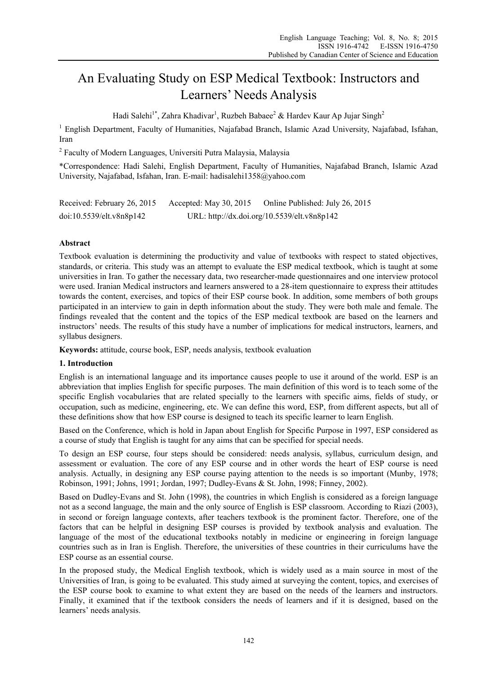# An Evaluating Study on ESP Medical Textbook: Instructors and Learners' Needs Analysis

Hadi Salehi<sup>1\*</sup>, Zahra Khadivar<sup>1</sup>, Ruzbeh Babaee<sup>2</sup> & Hardev Kaur Ap Jujar Singh<sup>2</sup>

<sup>1</sup> English Department, Faculty of Humanities, Najafabad Branch, Islamic Azad University, Najafabad, Isfahan, Iran

<sup>2</sup> Faculty of Modern Languages, Universiti Putra Malaysia, Malaysia

\*Correspondence: Hadi Salehi, English Department, Faculty of Humanities, Najafabad Branch, Islamic Azad University, Najafabad, Isfahan, Iran. E-mail: hadisalehi1358@yahoo.com

| Received: February 26, 2015 | Accepted: May 30, 2015 | Online Published: July 26, 2015             |
|-----------------------------|------------------------|---------------------------------------------|
| doi:10.5539/elt.v8n8p142    |                        | URL: http://dx.doi.org/10.5539/elt.v8n8p142 |

# **Abstract**

Textbook evaluation is determining the productivity and value of textbooks with respect to stated objectives, standards, or criteria. This study was an attempt to evaluate the ESP medical textbook, which is taught at some universities in Iran. To gather the necessary data, two researcher-made questionnaires and one interview protocol were used. Iranian Medical instructors and learners answered to a 28-item questionnaire to express their attitudes towards the content, exercises, and topics of their ESP course book. In addition, some members of both groups participated in an interview to gain in depth information about the study. They were both male and female. The findings revealed that the content and the topics of the ESP medical textbook are based on the learners and instructors' needs. The results of this study have a number of implications for medical instructors, learners, and syllabus designers.

**Keywords:** attitude, course book, ESP, needs analysis, textbook evaluation

# **1. Introduction**

English is an international language and its importance causes people to use it around of the world. ESP is an abbreviation that implies English for specific purposes. The main definition of this word is to teach some of the specific English vocabularies that are related specially to the learners with specific aims, fields of study, or occupation, such as medicine, engineering, etc. We can define this word, ESP, from different aspects, but all of these definitions show that how ESP course is designed to teach its specific learner to learn English.

Based on the Conference, which is hold in Japan about English for Specific Purpose in 1997, ESP considered as a course of study that English is taught for any aims that can be specified for special needs.

To design an ESP course, four steps should be considered: needs analysis, syllabus, curriculum design, and assessment or evaluation. The core of any ESP course and in other words the heart of ESP course is need analysis. Actually, in designing any ESP course paying attention to the needs is so important (Munby, 1978; Robinson, 1991; Johns, 1991; Jordan, 1997; Dudley-Evans & St. John, 1998; Finney, 2002).

Based on Dudley-Evans and St. John (1998), the countries in which English is considered as a foreign language not as a second language, the main and the only source of English is ESP classroom. According to Riazi (2003), in second or foreign language contexts, after teachers textbook is the prominent factor. Therefore, one of the factors that can be helpful in designing ESP courses is provided by textbook analysis and evaluation. The language of the most of the educational textbooks notably in medicine or engineering in foreign language countries such as in Iran is English. Therefore, the universities of these countries in their curriculums have the ESP course as an essential course.

In the proposed study, the Medical English textbook, which is widely used as a main source in most of the Universities of Iran, is going to be evaluated. This study aimed at surveying the content, topics, and exercises of the ESP course book to examine to what extent they are based on the needs of the learners and instructors. Finally, it examined that if the textbook considers the needs of learners and if it is designed, based on the learners' needs analysis.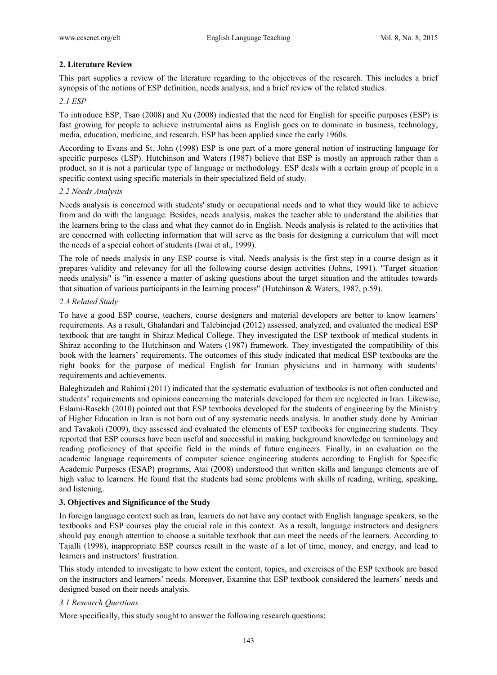# **2. Literature Review**

This part supplies a review of the literature regarding to the objectives of the research. This includes a brief synopsis of the notions of ESP definition, needs analysis, and a brief review of the related studies.

#### *2.1 ESP*

To introduce ESP, Tsao (2008) and Xu (2008) indicated that the need for English for specific purposes (ESP) is fast growing for people to achieve instrumental aims as English goes on to dominate in business, technology, media, education, medicine, and research. ESP has been applied since the early 1960s.

According to Evans and St. John (1998) ESP is one part of a more general notion of instructing language for specific purposes (LSP). Hutchinson and Waters (1987) believe that ESP is mostly an approach rather than a product, so it is not a particular type of language or methodology. ESP deals with a certain group of people in a specific context using specific materials in their specialized field of study.

#### *2.2 Needs Analysis*

Needs analysis is concerned with students' study or occupational needs and to what they would like to achieve from and do with the language. Besides, needs analysis, makes the teacher able to understand the abilities that the learners bring to the class and what they cannot do in English. Needs analysis is related to the activities that are concerned with collecting information that will serve as the basis for designing a curriculum that will meet the needs of a special cohort of students (Iwai et al., 1999).

The role of needs analysis in any ESP course is vital. Needs analysis is the first step in a course design as it prepares validity and relevancy for all the following course design activities (Johns, 1991). "Target situation needs analysis" is "in essence a matter of asking questions about the target situation and the attitudes towards that situation of various participants in the learning process" (Hutchinson & Waters, 1987, p.59).

# *2.3 Related Study*

To have a good ESP course, teachers, course designers and material developers are better to know learners' requirements. As a result, Ghalandari and Talebinejad (2012) assessed, analyzed, and evaluated the medical ESP textbook that are taught in Shiraz Medical College. They investigated the ESP textbook of medical students in Shiraz according to the Hutchinson and Waters (1987) framework. They investigated the compatibility of this book with the learners' requirements. The outcomes of this study indicated that medical ESP textbooks are the right books for the purpose of medical English for Iranian physicians and in harmony with students' requirements and achievements.

Baleghizadeh and Rahimi (2011) indicated that the systematic evaluation of textbooks is not often conducted and students' requirements and opinions concerning the materials developed for them are neglected in Iran. Likewise, Eslami-Rasekh (2010) pointed out that ESP textbooks developed for the students of engineering by the Ministry of Higher Education in Iran is not born out of any systematic needs analysis. In another study done by Amirian and Tavakoli (2009), they assessed and evaluated the elements of ESP textbooks for engineering students. They reported that ESP courses have been useful and successful in making background knowledge on terminology and reading proficiency of that specific field in the minds of future engineers. Finally, in an evaluation on the academic language requirements of computer science engineering students according to English for Specific Academic Purposes (ESAP) programs, Atai (2008) understood that written skills and language elements are of high value to learners. He found that the students had some problems with skills of reading, writing, speaking, and listening.

# **3. Objectives and Significance of the Study**

In foreign language context such as Iran, learners do not have any contact with English language speakers, so the textbooks and ESP courses play the crucial role in this context. As a result, language instructors and designers should pay enough attention to choose a suitable textbook that can meet the needs of the learners. According to Tajalli (1998), inappropriate ESP courses result in the waste of a lot of time, money, and energy, and lead to learners and instructors' frustration.

This study intended to investigate to how extent the content, topics, and exercises of the ESP textbook are based on the instructors and learners' needs. Moreover, Examine that ESP textbook considered the learners' needs and designed based on their needs analysis.

#### *3.1 Research Questions*

More specifically, this study sought to answer the following research questions: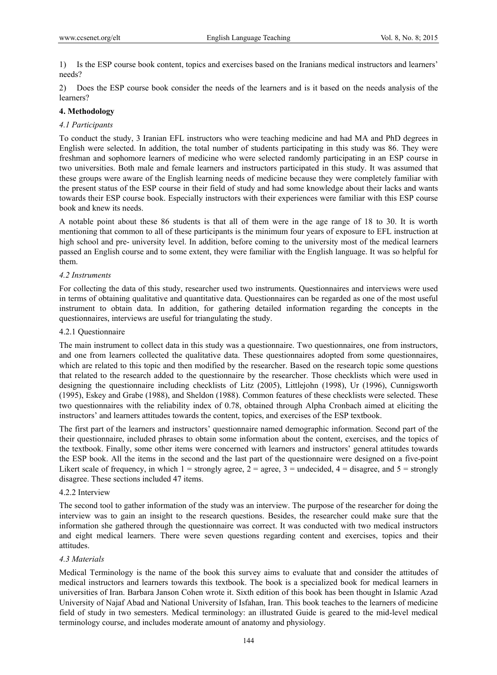1) Is the ESP course book content, topics and exercises based on the Iranians medical instructors and learners' needs?

2) Does the ESP course book consider the needs of the learners and is it based on the needs analysis of the learners?

# **4. Methodology**

#### *4.1 Participants*

To conduct the study, 3 Iranian EFL instructors who were teaching medicine and had MA and PhD degrees in English were selected. In addition, the total number of students participating in this study was 86. They were freshman and sophomore learners of medicine who were selected randomly participating in an ESP course in two universities. Both male and female learners and instructors participated in this study. It was assumed that these groups were aware of the English learning needs of medicine because they were completely familiar with the present status of the ESP course in their field of study and had some knowledge about their lacks and wants towards their ESP course book. Especially instructors with their experiences were familiar with this ESP course book and knew its needs.

A notable point about these 86 students is that all of them were in the age range of 18 to 30. It is worth mentioning that common to all of these participants is the minimum four years of exposure to EFL instruction at high school and pre- university level. In addition, before coming to the university most of the medical learners passed an English course and to some extent, they were familiar with the English language. It was so helpful for them.

# *4.2 Instruments*

For collecting the data of this study, researcher used two instruments. Questionnaires and interviews were used in terms of obtaining qualitative and quantitative data. Questionnaires can be regarded as one of the most useful instrument to obtain data. In addition, for gathering detailed information regarding the concepts in the questionnaires, interviews are useful for triangulating the study.

#### 4.2.1 Questionnaire

The main instrument to collect data in this study was a questionnaire. Two questionnaires, one from instructors, and one from learners collected the qualitative data. These questionnaires adopted from some questionnaires, which are related to this topic and then modified by the researcher. Based on the research topic some questions that related to the research added to the questionnaire by the researcher. Those checklists which were used in designing the questionnaire including checklists of Litz (2005), Littlejohn (1998), Ur (1996), Cunnigsworth (1995), Eskey and Grabe (1988), and Sheldon (1988). Common features of these checklists were selected. These two questionnaires with the reliability index of 0.78, obtained through Alpha Cronbach aimed at eliciting the instructors' and learners attitudes towards the content, topics, and exercises of the ESP textbook.

The first part of the learners and instructors' questionnaire named demographic information. Second part of the their questionnaire, included phrases to obtain some information about the content, exercises, and the topics of the textbook. Finally, some other items were concerned with learners and instructors' general attitudes towards the ESP book. All the items in the second and the last part of the questionnaire were designed on a five-point Likert scale of frequency, in which  $1 =$  strongly agree,  $2 =$  agree,  $3 =$  undecided,  $4 =$  disagree, and  $5 =$  strongly disagree. These sections included 47 items.

#### 4.2.2 Interview

The second tool to gather information of the study was an interview. The purpose of the researcher for doing the interview was to gain an insight to the research questions. Besides, the researcher could make sure that the information she gathered through the questionnaire was correct. It was conducted with two medical instructors and eight medical learners. There were seven questions regarding content and exercises, topics and their attitudes.

# *4.3 Materials*

Medical Terminology is the name of the book this survey aims to evaluate that and consider the attitudes of medical instructors and learners towards this textbook. The book is a specialized book for medical learners in universities of Iran. Barbara Janson Cohen wrote it. Sixth edition of this book has been thought in Islamic Azad University of Najaf Abad and National University of Isfahan, Iran. This book teaches to the learners of medicine field of study in two semesters. Medical terminology: an illustrated Guide is geared to the mid-level medical terminology course, and includes moderate amount of anatomy and physiology.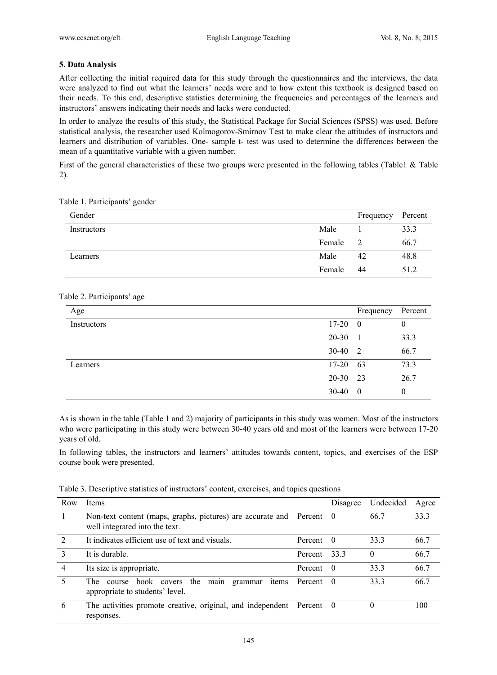# **5. Data Analysis**

After collecting the initial required data for this study through the questionnaires and the interviews, the data were analyzed to find out what the learners' needs were and to how extent this textbook is designed based on their needs. To this end, descriptive statistics determining the frequencies and percentages of the learners and instructors' answers indicating their needs and lacks were conducted.

In order to analyze the results of this study, the Statistical Package for Social Sciences (SPSS) was used. Before statistical analysis, the researcher used Kolmogorov-Smirnov Test to make clear the attitudes of instructors and learners and distribution of variables. One- sample t- test was used to determine the differences between the mean of a quantitative variable with a given number.

First of the general characteristics of these two groups were presented in the following tables (Table1 & Table 2).

| Gender      |        | Frequency | Percent |
|-------------|--------|-----------|---------|
| Instructors | Male   |           | 33.3    |
|             | Female |           | 66.7    |
| Learners    | Male   | 42        | 48.8    |
|             | Female | 44        | 51.2    |

# Table 2. Participants' age

| Age         |           | Frequency      | Percent      |
|-------------|-----------|----------------|--------------|
| Instructors | $17 - 20$ | $\overline{0}$ | $\theta$     |
|             | 20-30     | $\mathbf{1}$   | 33.3         |
|             | $30 - 40$ | 2              | 66.7         |
| Learners    | $17 - 20$ | - 63           | 73.3         |
|             | $20 - 30$ | 23             | 26.7         |
|             | 30-40     | $\overline{0}$ | $\mathbf{0}$ |

As is shown in the table (Table 1 and 2) majority of participants in this study was women. Most of the instructors who were participating in this study were between 30-40 years old and most of the learners were between 17-20 years of old.

In following tables, the instructors and learners' attitudes towards content, topics, and exercises of the ESP course book were presented.

|  | Table 3. Descriptive statistics of instructors' content, exercises, and topics questions |  |  |  |
|--|------------------------------------------------------------------------------------------|--|--|--|
|  |                                                                                          |  |  |  |
|  |                                                                                          |  |  |  |

| Row            | <b>Items</b>                                                                                           |         | Disagree | Undecided | Agree |
|----------------|--------------------------------------------------------------------------------------------------------|---------|----------|-----------|-------|
|                | Non-text content (maps, graphs, pictures) are accurate and Percent 0<br>well integrated into the text. |         |          | 66.7      | 33.3  |
| $\mathcal{D}$  | It indicates efficient use of text and visuals.                                                        | Percent | - 0      | 33.3      | 66.7  |
| 3              | It is durable.                                                                                         | Percent | 33.3     | $\Omega$  | 66.7  |
| $\overline{4}$ | Its size is appropriate.                                                                               | Percent | - 0      | 33.3      | 66.7  |
| 5              | the<br>The .<br>book covers<br>main<br>items<br>grammar<br>course<br>appropriate to students' level.   | Percent | $\theta$ | 33.3      | 66.7  |
| 6              | The activities promote creative, original, and independent Percent 0<br>responses.                     |         |          | 0         | 100   |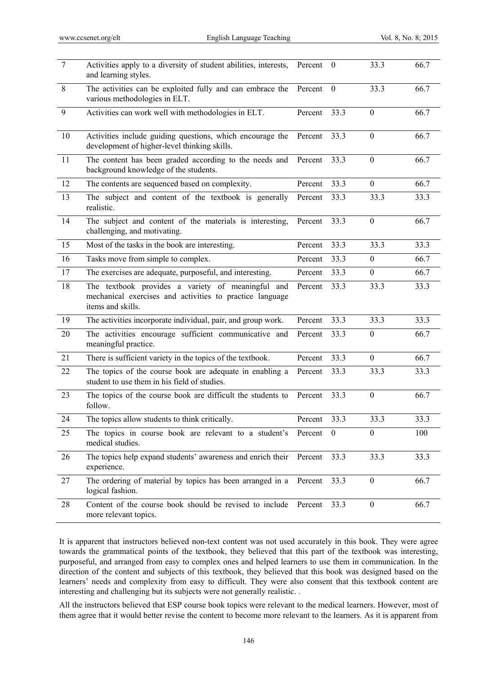| $\overline{7}$ | Activities apply to a diversity of student abilities, interests,<br>and learning styles.                                           | Percent | $\mathbf{0}$ | 33.3             | 66.7 |
|----------------|------------------------------------------------------------------------------------------------------------------------------------|---------|--------------|------------------|------|
| $\,8\,$        | The activities can be exploited fully and can embrace the<br>various methodologies in ELT.                                         | Percent | $\mathbf{0}$ | 33.3             | 66.7 |
| 9              | Activities can work well with methodologies in ELT.                                                                                | Percent | 33.3         | $\mathbf{0}$     | 66.7 |
| 10             | Activities include guiding questions, which encourage the<br>development of higher-level thinking skills.                          | Percent | 33.3         | $\mathbf{0}$     | 66.7 |
| 11             | The content has been graded according to the needs and<br>background knowledge of the students.                                    | Percent | 33.3         | $\boldsymbol{0}$ | 66.7 |
| 12             | The contents are sequenced based on complexity.                                                                                    | Percent | 33.3         | $\boldsymbol{0}$ | 66.7 |
| 13             | The subject and content of the textbook is generally<br>realistic.                                                                 | Percent | 33.3         | 33.3             | 33.3 |
| 14             | The subject and content of the materials is interesting,<br>challenging, and motivating.                                           | Percent | 33.3         | $\mathbf{0}$     | 66.7 |
| 15             | Most of the tasks in the book are interesting.                                                                                     | Percent | 33.3         | 33.3             | 33.3 |
| 16             | Tasks move from simple to complex.                                                                                                 | Percent | 33.3         | $\boldsymbol{0}$ | 66.7 |
| 17             | The exercises are adequate, purposeful, and interesting.                                                                           | Percent | 33.3         | $\boldsymbol{0}$ | 66.7 |
| $18\,$         | The textbook provides a variety of meaningful and<br>mechanical exercises and activities to practice language<br>items and skills. | Percent | 33.3         | 33.3             | 33.3 |
| 19             | The activities incorporate individual, pair, and group work.                                                                       | Percent | 33.3         | 33.3             | 33.3 |
| 20             | The activities encourage sufficient communicative and<br>meaningful practice.                                                      | Percent | 33.3         | $\mathbf{0}$     | 66.7 |
| 21             | There is sufficient variety in the topics of the textbook.                                                                         | Percent | 33.3         | $\mathbf{0}$     | 66.7 |
| 22             | The topics of the course book are adequate in enabling a<br>student to use them in his field of studies.                           | Percent | 33.3         | 33.3             | 33.3 |
| 23             | The topics of the course book are difficult the students to<br>follow.                                                             | Percent | 33.3         | $\boldsymbol{0}$ | 66.7 |
| 24             | The topics allow students to think critically.                                                                                     | Percent | 33.3         | 33.3             | 33.3 |
| 25             | The topics in course book are relevant to a student's Percent 0<br>medical studies.                                                |         |              | $\boldsymbol{0}$ | 100  |
| 26             | The topics help expand students' awareness and enrich their<br>experience.                                                         | Percent | 33.3         | 33.3             | 33.3 |
| 27             | The ordering of material by topics has been arranged in a<br>logical fashion.                                                      | Percent | 33.3         | $\mathbf{0}$     | 66.7 |
| 28             | Content of the course book should be revised to include<br>more relevant topics.                                                   | Percent | 33.3         | $\boldsymbol{0}$ | 66.7 |

It is apparent that instructors believed non-text content was not used accurately in this book. They were agree towards the grammatical points of the textbook, they believed that this part of the textbook was interesting, purposeful, and arranged from easy to complex ones and helped learners to use them in communication. In the direction of the content and subjects of this textbook, they believed that this book was designed based on the learners' needs and complexity from easy to difficult. They were also consent that this textbook content are interesting and challenging but its subjects were not generally realistic. .

All the instructors believed that ESP course book topics were relevant to the medical learners. However, most of them agree that it would better revise the content to become more relevant to the learners. As it is apparent from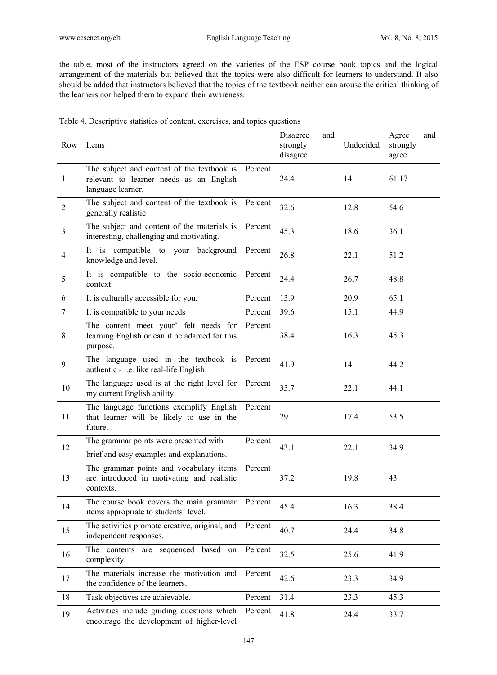the table, most of the instructors agreed on the varieties of the ESP course book topics and the logical arrangement of the materials but believed that the topics were also difficult for learners to understand. It also should be added that instructors believed that the topics of the textbook neither can arouse the critical thinking of the learners nor helped them to expand their awareness.

| Table 4. Descriptive statistics of content, exercises, and topics questions |  |
|-----------------------------------------------------------------------------|--|
|                                                                             |  |

| Row            | Items                                                                                                      |         | Disagree<br>strongly<br>disagree | and | Undecided | Agree<br>strongly<br>agree | and |
|----------------|------------------------------------------------------------------------------------------------------------|---------|----------------------------------|-----|-----------|----------------------------|-----|
| 1              | The subject and content of the textbook is<br>relevant to learner needs as an English<br>language learner. | Percent | 24.4                             |     | 14        | 61.17                      |     |
| $\overline{2}$ | The subject and content of the textbook is<br>generally realistic                                          | Percent | 32.6                             |     | 12.8      | 54.6                       |     |
| $\overline{3}$ | The subject and content of the materials is<br>interesting, challenging and motivating.                    | Percent | 45.3                             |     | 18.6      | 36.1                       |     |
| $\overline{4}$ | It is compatible to your background<br>knowledge and level.                                                | Percent | 26.8                             |     | 22.1      | 51.2                       |     |
| 5              | It is compatible to the socio-economic<br>context.                                                         | Percent | 24.4                             |     | 26.7      | 48.8                       |     |
| 6              | It is culturally accessible for you.                                                                       | Percent | 13.9                             |     | 20.9      | 65.1                       |     |
| $\overline{7}$ | It is compatible to your needs                                                                             | Percent | 39.6                             |     | 15.1      | 44.9                       |     |
| $8\,$          | The content meet your' felt needs for<br>learning English or can it be adapted for this<br>purpose.        | Percent | 38.4                             |     | 16.3      | 45.3                       |     |
| 9              | The language used in the textbook is<br>authentic - i.e. like real-life English.                           | Percent | 41.9                             |     | 14        | 44.2                       |     |
| 10             | The language used is at the right level for<br>my current English ability.                                 | Percent | 33.7                             |     | 22.1      | 44.1                       |     |
| 11             | The language functions exemplify English<br>that learner will be likely to use in the<br>future.           | Percent | 29                               |     | 17.4      | 53.5                       |     |
| 12             | The grammar points were presented with<br>brief and easy examples and explanations.                        | Percent | 43.1                             |     | 22.1      | 34.9                       |     |
| 13             | The grammar points and vocabulary items<br>are introduced in motivating and realistic<br>contexts.         | Percent | 37.2                             |     | 19.8      | 43                         |     |
| 14             | The course book covers the main grammar<br>items appropriate to students' level.                           | Percent | 45.4                             |     | 16.3      | 38.4                       |     |
| 15             | The activities promote creative, original, and<br>independent responses.                                   | Percent | 40.7                             |     | 24.4      | 34.8                       |     |
| 16             | The contents are sequenced based on<br>complexity.                                                         | Percent | 32.5                             |     | 25.6      | 41.9                       |     |
| 17             | The materials increase the motivation and<br>the confidence of the learners.                               | Percent | 42.6                             |     | 23.3      | 34.9                       |     |
| 18             | Task objectives are achievable.                                                                            | Percent | 31.4                             |     | 23.3      | 45.3                       |     |
| 19             | Activities include guiding questions which<br>encourage the development of higher-level                    | Percent | 41.8                             |     | 24.4      | 33.7                       |     |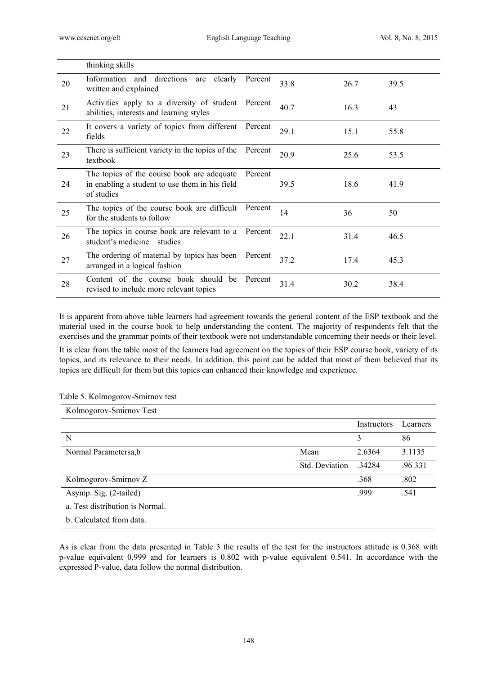|    | thinking skills                                                                                            |         |      |      |      |
|----|------------------------------------------------------------------------------------------------------------|---------|------|------|------|
| 20 | Information and directions<br>clearly<br>are<br>written and explained                                      | Percent | 33.8 | 26.7 | 39.5 |
| 21 | Activities apply to a diversity of student<br>abilities, interests and learning styles                     | Percent | 40.7 | 16.3 | 43   |
| 22 | It covers a variety of topics from different<br>fields                                                     | Percent | 29.1 | 15.1 | 55.8 |
| 23 | There is sufficient variety in the topics of the<br>textbook                                               | Percent | 20.9 | 25.6 | 53.5 |
| 24 | The topics of the course book are adequate<br>in enabling a student to use them in his field<br>of studies | Percent | 39.5 | 18.6 | 41.9 |
| 25 | The topics of the course book are difficult<br>for the students to follow                                  | Percent | 14   | 36   | 50   |
| 26 | The topics in course book are relevant to a<br>student's medicine studies                                  | Percent | 22.1 | 31.4 | 46.5 |
| 27 | The ordering of material by topics has been<br>arranged in a logical fashion                               | Percent | 37.2 | 17.4 | 45.3 |
| 28 | Content of the course book should be<br>revised to include more relevant topics                            | Percent | 31.4 | 30.2 | 38.4 |

It is apparent from above table learners had agreement towards the general content of the ESP textbook and the material used in the course book to help understanding the content. The majority of respondents felt that the exercises and the grammar points of their textbook were not understandable concerning their needs or their level.

It is clear from the table most of the learners had agreement on the topics of their ESP course book, variety of its topics, and its relevance to their needs. In addition, this point can be added that most of them believed that its topics are difficult for them but this topics can enhanced their knowledge and experience.

Table 5. Kolmogorov-Smirnov test

| Kolmogorov-Smirnov Test         |                |             |          |
|---------------------------------|----------------|-------------|----------|
|                                 |                | Instructors | Learners |
| N                               |                | 3           | 86       |
| Normal Parametersa,b            | Mean           | 2.6364      | 3.1135   |
|                                 | Std. Deviation | 34284       | .96 331  |
| Kolmogorov-Smirnov Z            |                | .368        | .802     |
| Asymp. Sig. (2-tailed)          |                | .999        | .541     |
| a. Test distribution is Normal. |                |             |          |
| b. Calculated from data.        |                |             |          |

As is clear from the data presented in Table 3 the results of the test for the instructors attitude is 0.368 with p-value equivalent 0.999 and for learners is 0.802 with p-value equivalent 0.541. In accordance with the expressed P-value, data follow the normal distribution.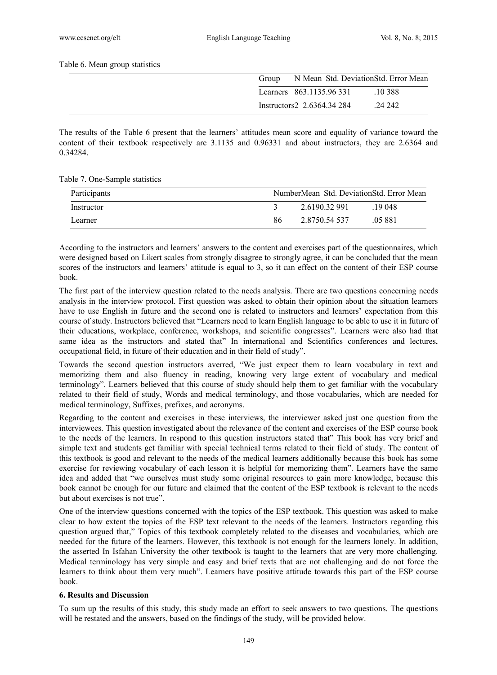Table 6. Mean group statistics

| Group |                            | N Mean Std. DeviationStd. Error Mean |  |
|-------|----------------------------|--------------------------------------|--|
|       | Learners 863.1135.96 331   | .10388                               |  |
|       | Instructors2 2.6364.34 284 | .24 242                              |  |

The results of the Table 6 present that the learners' attitudes mean score and equality of variance toward the content of their textbook respectively are 3.1135 and 0.96331 and about instructors, they are 2.6364 and 0.34284.

Table 7. One-Sample statistics

| Participants |    | NumberMean Std. DeviationStd. Error Mean |         |
|--------------|----|------------------------------------------|---------|
| Instructor   |    | 2.6190.32.991                            | 19 048  |
| Learner      | 86 | 2.8750.54.537                            | .05 881 |

According to the instructors and learners' answers to the content and exercises part of the questionnaires, which were designed based on Likert scales from strongly disagree to strongly agree, it can be concluded that the mean scores of the instructors and learners' attitude is equal to 3, so it can effect on the content of their ESP course book.

The first part of the interview question related to the needs analysis. There are two questions concerning needs analysis in the interview protocol. First question was asked to obtain their opinion about the situation learners have to use English in future and the second one is related to instructors and learners' expectation from this course of study. Instructors believed that "Learners need to learn English language to be able to use it in future of their educations, workplace, conference, workshops, and scientific congresses". Learners were also had that same idea as the instructors and stated that" In international and Scientifics conferences and lectures, occupational field, in future of their education and in their field of study".

Towards the second question instructors averred, "We just expect them to learn vocabulary in text and memorizing them and also fluency in reading, knowing very large extent of vocabulary and medical terminology". Learners believed that this course of study should help them to get familiar with the vocabulary related to their field of study, Words and medical terminology, and those vocabularies, which are needed for medical terminology, Suffixes, prefixes, and acronyms.

Regarding to the content and exercises in these interviews, the interviewer asked just one question from the interviewees. This question investigated about the relevance of the content and exercises of the ESP course book to the needs of the learners. In respond to this question instructors stated that" This book has very brief and simple text and students get familiar with special technical terms related to their field of study. The content of this textbook is good and relevant to the needs of the medical learners additionally because this book has some exercise for reviewing vocabulary of each lesson it is helpful for memorizing them". Learners have the same idea and added that "we ourselves must study some original resources to gain more knowledge, because this book cannot be enough for our future and claimed that the content of the ESP textbook is relevant to the needs but about exercises is not true".

One of the interview questions concerned with the topics of the ESP textbook. This question was asked to make clear to how extent the topics of the ESP text relevant to the needs of the learners. Instructors regarding this question argued that," Topics of this textbook completely related to the diseases and vocabularies, which are needed for the future of the learners. However, this textbook is not enough for the learners lonely. In addition, the asserted In Isfahan University the other textbook is taught to the learners that are very more challenging. Medical terminology has very simple and easy and brief texts that are not challenging and do not force the learners to think about them very much". Learners have positive attitude towards this part of the ESP course book.

# **6. Results and Discussion**

To sum up the results of this study, this study made an effort to seek answers to two questions. The questions will be restated and the answers, based on the findings of the study, will be provided below.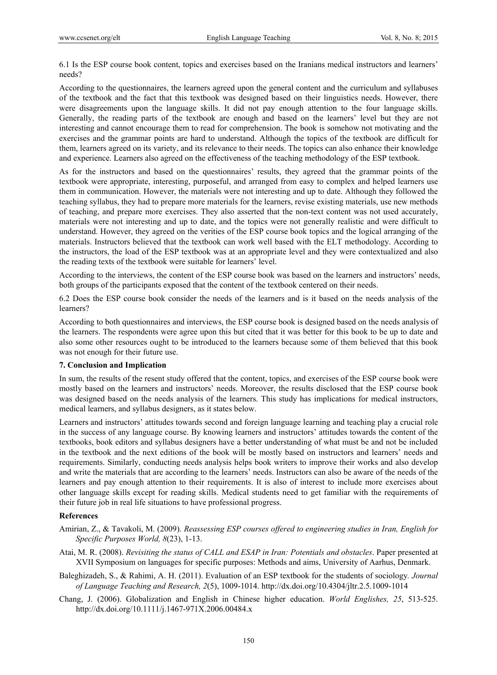6.1 Is the ESP course book content, topics and exercises based on the Iranians medical instructors and learners' needs?

According to the questionnaires, the learners agreed upon the general content and the curriculum and syllabuses of the textbook and the fact that this textbook was designed based on their linguistics needs. However, there were disagreements upon the language skills. It did not pay enough attention to the four language skills. Generally, the reading parts of the textbook are enough and based on the learners' level but they are not interesting and cannot encourage them to read for comprehension. The book is somehow not motivating and the exercises and the grammar points are hard to understand. Although the topics of the textbook are difficult for them, learners agreed on its variety, and its relevance to their needs. The topics can also enhance their knowledge and experience. Learners also agreed on the effectiveness of the teaching methodology of the ESP textbook.

As for the instructors and based on the questionnaires' results, they agreed that the grammar points of the textbook were appropriate, interesting, purposeful, and arranged from easy to complex and helped learners use them in communication. However, the materials were not interesting and up to date. Although they followed the teaching syllabus, they had to prepare more materials for the learners, revise existing materials, use new methods of teaching, and prepare more exercises. They also asserted that the non-text content was not used accurately, materials were not interesting and up to date, and the topics were not generally realistic and were difficult to understand. However, they agreed on the verities of the ESP course book topics and the logical arranging of the materials. Instructors believed that the textbook can work well based with the ELT methodology. According to the instructors, the load of the ESP textbook was at an appropriate level and they were contextualized and also the reading texts of the textbook were suitable for learners' level.

According to the interviews, the content of the ESP course book was based on the learners and instructors' needs, both groups of the participants exposed that the content of the textbook centered on their needs.

6.2 Does the ESP course book consider the needs of the learners and is it based on the needs analysis of the learners?

According to both questionnaires and interviews, the ESP course book is designed based on the needs analysis of the learners. The respondents were agree upon this but cited that it was better for this book to be up to date and also some other resources ought to be introduced to the learners because some of them believed that this book was not enough for their future use.

#### **7. Conclusion and Implication**

In sum, the results of the resent study offered that the content, topics, and exercises of the ESP course book were mostly based on the learners and instructors' needs. Moreover, the results disclosed that the ESP course book was designed based on the needs analysis of the learners. This study has implications for medical instructors, medical learners, and syllabus designers, as it states below.

Learners and instructors' attitudes towards second and foreign language learning and teaching play a crucial role in the success of any language course. By knowing learners and instructors' attitudes towards the content of the textbooks, book editors and syllabus designers have a better understanding of what must be and not be included in the textbook and the next editions of the book will be mostly based on instructors and learners' needs and requirements. Similarly, conducting needs analysis helps book writers to improve their works and also develop and write the materials that are according to the learners' needs. Instructors can also be aware of the needs of the learners and pay enough attention to their requirements. It is also of interest to include more exercises about other language skills except for reading skills. Medical students need to get familiar with the requirements of their future job in real life situations to have professional progress.

# **References**

- Amirian, Z., & Tavakoli, M. (2009). *Reassessing ESP courses offered to engineering studies in Iran, English for Specific Purposes World, 8*(23), 1-13.
- Atai, M. R. (2008). *Revisiting the status of CALL and ESAP in Iran: Potentials and obstacles*. Paper presented at XVII Symposium on languages for specific purposes: Methods and aims, University of Aarhus, Denmark.
- Baleghizadeh, S., & Rahimi, A. H. (2011). Evaluation of an ESP textbook for the students of sociology*. Journal of Language Teaching and Research, 2*(5), 1009-1014. http://dx.doi.org/10.4304/jltr.2.5.1009-1014
- Chang, J. (2006). Globalization and English in Chinese higher education. *World Englishes, 25*, 513-525. http://dx.doi.org/10.1111/j.1467-971X.2006.00484.x